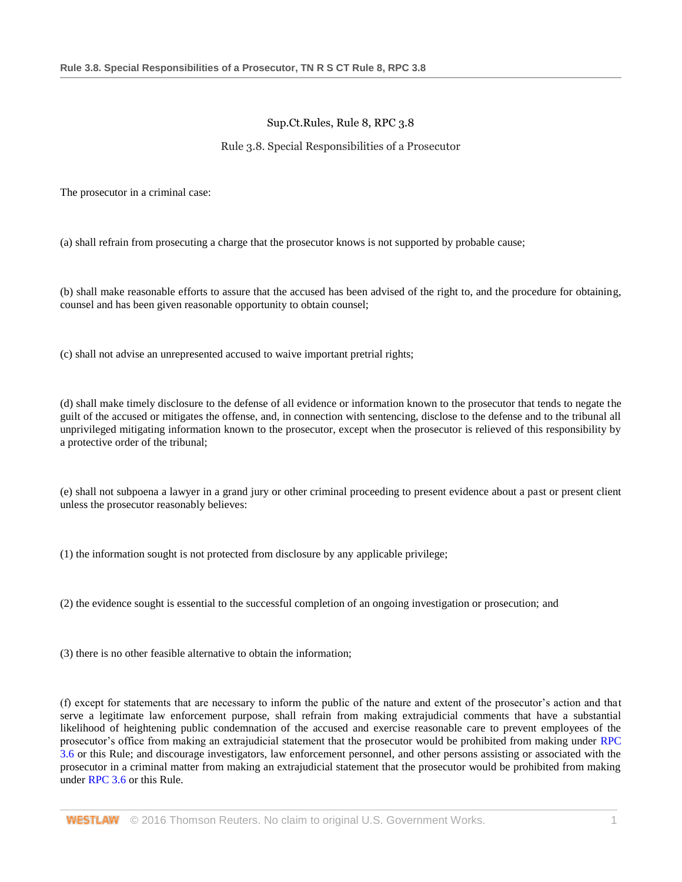## Sup.Ct.Rules, Rule 8, RPC 3.8

## Rule 3.8. Special Responsibilities of a Prosecutor

The prosecutor in a criminal case:

(a) shall refrain from prosecuting a charge that the prosecutor knows is not supported by probable cause;

(b) shall make reasonable efforts to assure that the accused has been advised of the right to, and the procedure for obtaining, counsel and has been given reasonable opportunity to obtain counsel;

(c) shall not advise an unrepresented accused to waive important pretrial rights;

(d) shall make timely disclosure to the defense of all evidence or information known to the prosecutor that tends to negate the guilt of the accused or mitigates the offense, and, in connection with sentencing, disclose to the defense and to the tribunal all unprivileged mitigating information known to the prosecutor, except when the prosecutor is relieved of this responsibility by a protective order of the tribunal;

(e) shall not subpoena a lawyer in a grand jury or other criminal proceeding to present evidence about a past or present client unless the prosecutor reasonably believes:

(1) the information sought is not protected from disclosure by any applicable privilege;

(2) the evidence sought is essential to the successful completion of an ongoing investigation or prosecution; and

(3) there is no other feasible alternative to obtain the information;

(f) except for statements that are necessary to inform the public of the nature and extent of the prosecutor's action and that serve a legitimate law enforcement purpose, shall refrain from making extrajudicial comments that have a substantial likelihood of heightening public condemnation of the accused and exercise reasonable care to prevent employees of the prosecutor's office from making an extrajudicial statement that the prosecutor would be prohibited from making under [RPC](http://www.westlaw.com/Link/Document/FullText?findType=L&pubNum=1008882&cite=TNRSCTR8RPC3.6&originatingDoc=NEBCCE34003A611DCA094A3249C637898&refType=LQ&originationContext=document&vr=3.0&rs=cblt1.0&transitionType=DocumentItem&contextData=(sc.Category))  [3.6](http://www.westlaw.com/Link/Document/FullText?findType=L&pubNum=1008882&cite=TNRSCTR8RPC3.6&originatingDoc=NEBCCE34003A611DCA094A3249C637898&refType=LQ&originationContext=document&vr=3.0&rs=cblt1.0&transitionType=DocumentItem&contextData=(sc.Category)) or this Rule; and discourage investigators, law enforcement personnel, and other persons assisting or associated with the prosecutor in a criminal matter from making an extrajudicial statement that the prosecutor would be prohibited from making under [RPC 3.6](http://www.westlaw.com/Link/Document/FullText?findType=L&pubNum=1008882&cite=TNRSCTR8RPC3.6&originatingDoc=NEBCCE34003A611DCA094A3249C637898&refType=LQ&originationContext=document&vr=3.0&rs=cblt1.0&transitionType=DocumentItem&contextData=(sc.Category)) or this Rule.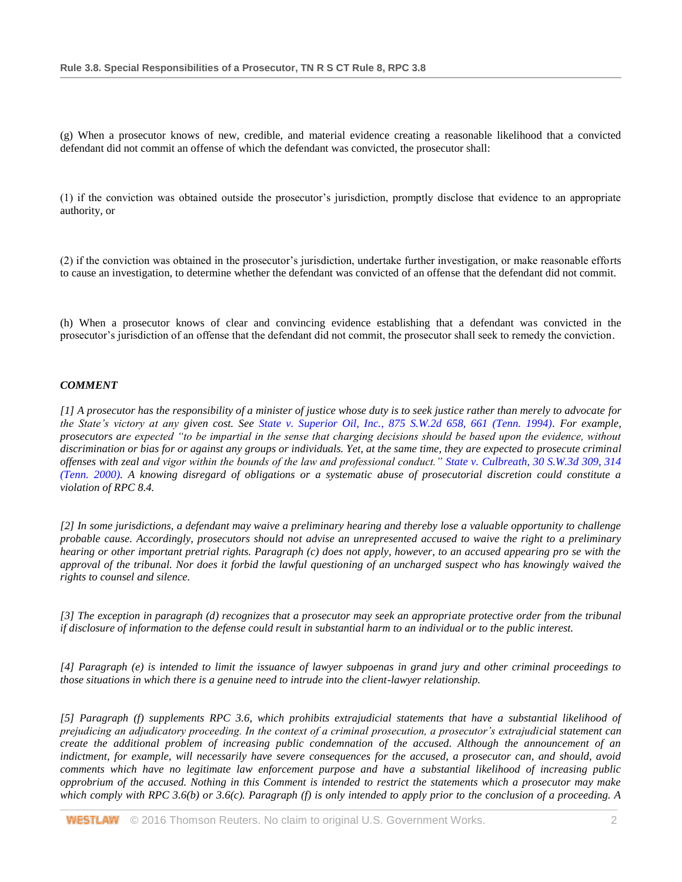(g) When a prosecutor knows of new, credible, and material evidence creating a reasonable likelihood that a convicted defendant did not commit an offense of which the defendant was convicted, the prosecutor shall:

(1) if the conviction was obtained outside the prosecutor's jurisdiction, promptly disclose that evidence to an appropriate authority, or

(2) if the conviction was obtained in the prosecutor's jurisdiction, undertake further investigation, or make reasonable efforts to cause an investigation, to determine whether the defendant was convicted of an offense that the defendant did not commit.

(h) When a prosecutor knows of clear and convincing evidence establishing that a defendant was convicted in the prosecutor's jurisdiction of an offense that the defendant did not commit, the prosecutor shall seek to remedy the conviction.

## *COMMENT*

*[1] A prosecutor has the responsibility of a minister of justice whose duty is to seek justice rather than merely to advocate for the State's victory at any given cost. See [State v. Superior Oil, Inc., 875 S.W.2d 658, 661 \(Tenn. 1994\).](http://www.westlaw.com/Link/Document/FullText?findType=Y&serNum=1994103692&pubNum=0000713&originatingDoc=NEBCCE34003A611DCA094A3249C637898&refType=RP&fi=co_pp_sp_713_661&originationContext=document&vr=3.0&rs=cblt1.0&transitionType=DocumentItem&contextData=(sc.Category)#co_pp_sp_713_661) For example, prosecutors are expected "to be impartial in the sense that charging decisions should be based upon the evidence, without discrimination or bias for or against any groups or individuals. Yet, at the same time, they are expected to prosecute criminal offenses with zeal and vigor within the bounds of the law and professional conduct." [State v. Culbreath, 30 S.W.3d 309, 314](http://www.westlaw.com/Link/Document/FullText?findType=Y&serNum=2000578202&pubNum=0004644&originatingDoc=NEBCCE34003A611DCA094A3249C637898&refType=RP&fi=co_pp_sp_4644_314&originationContext=document&vr=3.0&rs=cblt1.0&transitionType=DocumentItem&contextData=(sc.Category)#co_pp_sp_4644_314)  [\(Tenn. 2000\).](http://www.westlaw.com/Link/Document/FullText?findType=Y&serNum=2000578202&pubNum=0004644&originatingDoc=NEBCCE34003A611DCA094A3249C637898&refType=RP&fi=co_pp_sp_4644_314&originationContext=document&vr=3.0&rs=cblt1.0&transitionType=DocumentItem&contextData=(sc.Category)#co_pp_sp_4644_314) A knowing disregard of obligations or a systematic abuse of prosecutorial discretion could constitute a violation of RPC 8.4.*

*[2] In some jurisdictions, a defendant may waive a preliminary hearing and thereby lose a valuable opportunity to challenge probable cause. Accordingly, prosecutors should not advise an unrepresented accused to waive the right to a preliminary hearing or other important pretrial rights. Paragraph (c) does not apply, however, to an accused appearing pro se with the approval of the tribunal. Nor does it forbid the lawful questioning of an uncharged suspect who has knowingly waived the rights to counsel and silence.*

*[3] The exception in paragraph (d) recognizes that a prosecutor may seek an appropriate protective order from the tribunal if disclosure of information to the defense could result in substantial harm to an individual or to the public interest.*

*[4] Paragraph (e) is intended to limit the issuance of lawyer subpoenas in grand jury and other criminal proceedings to those situations in which there is a genuine need to intrude into the client-lawyer relationship.*

*[5] Paragraph (f) supplements RPC 3.6, which prohibits extrajudicial statements that have a substantial likelihood of prejudicing an adjudicatory proceeding. In the context of a criminal prosecution, a prosecutor's extrajudicial statement can create the additional problem of increasing public condemnation of the accused. Although the announcement of an indictment, for example, will necessarily have severe consequences for the accused, a prosecutor can, and should, avoid comments which have no legitimate law enforcement purpose and have a substantial likelihood of increasing public opprobrium of the accused. Nothing in this Comment is intended to restrict the statements which a prosecutor may make which comply with RPC 3.6(b) or 3.6(c). Paragraph (f) is only intended to apply prior to the conclusion of a proceeding. A*